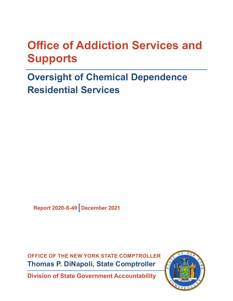# **Office of Addiction Services and Supports**

# **Oversight of Chemical Dependence Residential Services**

**Report 2020-S-49 December 2021**

**OFFICE OF THE NEW YORK STATE COMPTROLLER Thomas P. DiNapoli, State Comptroller**

**Division of State Government Accountability**

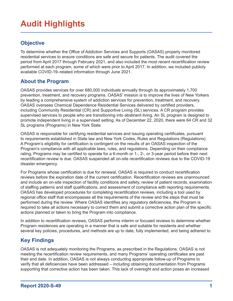## **Audit Highlights**

### **Objective**

To determine whether the Office of Addiction Services and Supports (OASAS) properly monitored residential services to ensure conditions are safe and secure for patients. The audit covered the period from April 2017 through February 2021, and also included the most recent recertification review performed at each program, some of which were prior to April 2017. In addition, we included publicly available COVID-19–related information through June 2021.

#### **About the Program**

OASAS provides services for over 680,000 individuals annually through its approximately 1,700 prevention, treatment, and recovery programs. OASAS' mission is to improve the lives of New Yorkers by leading a comprehensive system of addiction services for prevention, treatment, and recovery. OASAS oversees Chemical Dependence Residential Services delivered by certified providers, including Community Residential (CR) and Supportive Living (SL) services. A CR program provides supervised services to people who are transitioning into abstinent living. An SL program is designed to promote independent living in a supervised setting. As of December 22, 2020, there were 64 CR and 32 SL programs (Programs) in New York State.

OASAS is responsible for certifying residential services and issuing operating certificates, pursuant to requirements established in State law and New York Codes, Rules and Regulations (Regulations). A Program's eligibility for certification is contingent on the results of an OASAS inspection of the Program's compliance with all applicable laws, rules, and regulations. Depending on their compliance rating, Programs may be certified to operate for a 6-month or 1-, 2-, or 3-year period before their next recertification review is due. OASAS suspended all on-site recertification reviews due to the COVID-19 disaster emergency.

For Programs whose certification is due for renewal, OASAS is required to conduct recertification reviews before the expiration date of the current certification. Recertification reviews are unannounced and include an on-site inspection of facility conditions and safety, review of patient records, examination of staffing patterns and staff qualifications, and assessment of compliance with reporting requirements. OASAS has developed procedures for completing recertification reviews, including a tool used by regional office staff that encompasses all the requirements of the review and the steps that must be performed during the review. Where OASAS identifies any regulatory deficiencies, the Program is required to take all actions necessary to correct them and submit a corrective action plan of the specific actions planned or taken to bring the Program into compliance.

In addition to recertification reviews, OASAS performs interim or focused reviews to determine whether Program residences are operating in a manner that is safe and suitable for residents and whether several key policies, procedures, and methods are up to date, fully implemented, and being adhered to.

### **Key Findings**

OASAS is not adequately monitoring the Programs, as prescribed in the Regulations. OASAS is not meeting the recertification review requirements, and many Programs' operating certificates are past their end date. In addition, OASAS is not always conducting appropriate follow-up of Programs to verify that all deficiencies have been addressed – including obtaining documentation from Programs supporting that corrective action has been taken. This lack of oversight and action poses an increased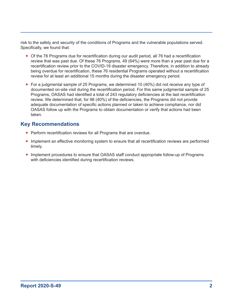risk to the safety and security of the conditions of Programs and the vulnerable populations served. Specifically, we found that:

- Of the 76 Programs due for recertification during our audit period, all 76 had a recertification review that was past due. Of these 76 Programs, 49 (64%) were more than a year past due for a recertification review prior to the COVID-19 disaster emergency. Therefore, in addition to already being overdue for recertification, these 76 residential Programs operated without a recertification review for at least an additional 15 months during the disaster emergency period.
- For a judgmental sample of 25 Programs, we determined 10 (40%) did not receive any type of documented on-site visit during the recertification period. For this same judgmental sample of 25 Programs, OASAS had identified a total of 243 regulatory deficiencies at the last recertification review. We determined that, for 98 (40%) of the deficiencies, the Programs did not provide adequate documentation of specific actions planned or taken to achieve compliance, nor did OASAS follow up with the Programs to obtain documentation or verify that actions had been taken.

#### **Key Recommendations**

- **Perform recertification reviews for all Programs that are overdue.**
- **Implement an effective monitoring system to ensure that all recertification reviews are performed** timely.
- **Implement procedures to ensure that OASAS staff conduct appropriate follow-up of Programs** with deficiencies identified during recertification reviews.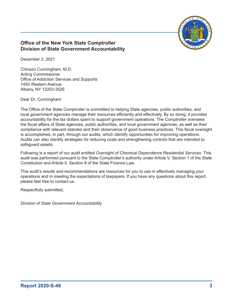

#### **Office of the New York State Comptroller Division of State Government Accountability**

December 3, 2021

Chinazo Cunningham, M.D. Acting Commissioner Office of Addiction Services and Supports 1450 Western Avenue Albany, NY 12203-3526

Dear Dr. Cunningham:

The Office of the State Comptroller is committed to helping State agencies, public authorities, and local government agencies manage their resources efficiently and effectively. By so doing, it provides accountability for the tax dollars spent to support government operations. The Comptroller oversees the fiscal affairs of State agencies, public authorities, and local government agencies, as well as their compliance with relevant statutes and their observance of good business practices. This fiscal oversight is accomplished, in part, through our audits, which identify opportunities for improving operations. Audits can also identify strategies for reducing costs and strengthening controls that are intended to safeguard assets.

Following is a report of our audit entitled *Oversight of Chemical Dependence Residential Services*. This audit was performed pursuant to the State Comptroller's authority under Article V, Section 1 of the State Constitution and Article II, Section 8 of the State Finance Law.

This audit's results and recommendations are resources for you to use in effectively managing your operations and in meeting the expectations of taxpayers. If you have any questions about this report, please feel free to contact us.

Respectfully submitted,

*Division of State Government Accountability*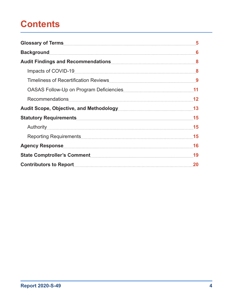## **Contents**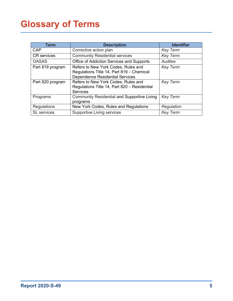# <span id="page-5-0"></span>**Glossary of Terms**

| Term               | <b>Description</b>                                                                                                         | <b>Identifier</b> |
|--------------------|----------------------------------------------------------------------------------------------------------------------------|-------------------|
| CAP                | Corrective action plan                                                                                                     | <b>Key Term</b>   |
| <b>CR</b> services | <b>Community Residential services</b>                                                                                      | <b>Key Term</b>   |
| <b>OASAS</b>       | Office of Addiction Services and Supports                                                                                  | Auditee           |
| Part 819 program   | Refers to New York Codes, Rules and<br>Regulations Title 14, Part 819 - Chemical<br><b>Dependence Residential Services</b> | <b>Key Term</b>   |
| Part 820 program   | Refers to New York Codes, Rules and<br>Regulations Title 14, Part 820 - Residential<br><b>Services</b>                     | <b>Key Term</b>   |
| Programs           | <b>Community Residential and Supportive Living</b><br>programs                                                             | <b>Key Term</b>   |
| <b>Regulations</b> | New York Codes, Rules and Regulations                                                                                      | Regulation        |
| <b>SL</b> services | <b>Supportive Living services</b>                                                                                          | <b>Key Term</b>   |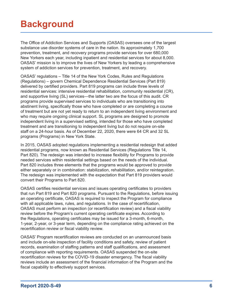## <span id="page-6-0"></span>**Background**

The Office of Addiction Services and Supports (OASAS) oversees one of the largest substance use disorder systems of care in the nation. Its approximately 1,700 prevention, treatment, and recovery programs provide services for over 680,000 New Yorkers each year, including inpatient and residential services for about 8,000. OASAS' mission is to improve the lives of New Yorkers by leading a comprehensive system of addiction services for prevention, treatment, and recovery.

OASAS' regulations – Title 14 of the New York Codes, Rules and Regulations (Regulations) – govern Chemical Dependence Residential Services (Part 819) delivered by certified providers. Part 819 programs can include three levels of residential services: intensive residential rehabilitation, community residential (CR), and supportive living (SL) services—the latter two are the focus of this audit. CR programs provide supervised services to individuals who are transitioning into abstinent living, specifically those who have completed or are completing a course of treatment but are not yet ready to return to an independent living environment and who may require ongoing clinical support. SL programs are designed to promote independent living in a supervised setting, intended for those who have completed treatment and are transitioning to independent living but do not require on-site staff on a 24-hour basis. As of December 22, 2020, there were 64 CR and 32 SL programs (Programs) in New York State.

In 2015, OASAS adopted regulations implementing a residential redesign that added residential programs, now known as Residential Services (Regulations Title 14, Part 820). The redesign was intended to increase flexibility for Programs to provide needed services within residential settings based on the needs of the individual. Part 820 includes three elements that the programs would be approved to provide either separately or in combination: stabilization, rehabilitation, and/or reintegration. The redesign was implemented with the expectation that Part 819 providers would convert their Programs to Part 820.

OASAS certifies residential services and issues operating certificates to providers that run Part 819 and Part 820 programs. Pursuant to the Regulations, before issuing an operating certificate, OASAS is required to inspect the Program for compliance with all applicable laws, rules, and regulations. In the case of recertification, OASAS must perform an inspection (or recertification review) and a fiscal viability review before the Program's current operating certificate expires. According to the Regulations, operating certificates may be issued for a 3-month, 6-month, 1-year, 2-year, or 3-year term, depending on the compliance rating achieved on the recertification review or fiscal viability review.

OASAS' Program recertification reviews are conducted on an unannounced basis and include on-site inspection of facility conditions and safety, review of patient records, examination of staffing patterns and staff qualifications, and assessment of compliance with reporting requirements. OASAS suspended the on-site recertification reviews for the COVID-19 disaster emergency. The fiscal viability reviews include an assessment of the financial information of the Program and the fiscal capability to effectively support services.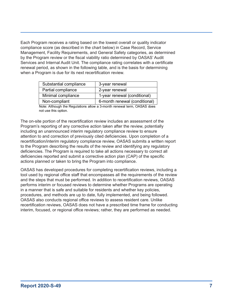Each Program receives a rating based on the lowest overall or quality indicator compliance score (as described in the chart below) in Case Record, Service Management, Facility Requirements, and General Safety categories, as determined by the Program review or the fiscal viability ratio determined by OASAS' Audit Services and Internal Audit Unit. The compliance rating correlates with a certificate renewal period, as shown in the following table, and is the basis for determining when a Program is due for its next recertification review.

| Substantial compliance | 3-year renewal                |
|------------------------|-------------------------------|
| Partial compliance     | 2-year renewal                |
| Minimal compliance     | 1-year renewal (conditional)  |
| Non-compliant          | 6-month renewal (conditional) |

Note: Although the Regulations allow a 3-month renewal term, OASAS does not use this option.

The on-site portion of the recertification review includes an assessment of the Program's reporting of any corrective action taken after the review, potentially including an unannounced interim regulatory compliance review to ensure attention to and correction of previously cited deficiencies. Upon completion of a recertification/interim regulatory compliance review, OASAS submits a written report to the Program describing the results of the review and identifying any regulatory deficiencies. The Program is required to take all actions necessary to correct all deficiencies reported and submit a corrective action plan (CAP) of the specific actions planned or taken to bring the Program into compliance.

OASAS has developed procedures for completing recertification reviews, including a tool used by regional office staff that encompasses all the requirements of the review and the steps that must be performed. In addition to recertification reviews, OASAS performs interim or focused reviews to determine whether Programs are operating in a manner that is safe and suitable for residents and whether key policies, procedures, and methods are up to date, fully implemented, and being followed. OASAS also conducts regional office reviews to assess resident care. Unlike recertification reviews, OASAS does not have a prescribed time frame for conducting interim, focused, or regional office reviews; rather, they are performed as needed.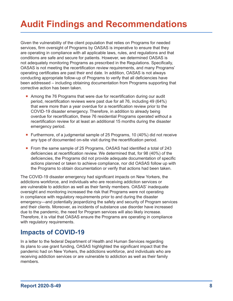# <span id="page-8-0"></span>**Audit Findings and Recommendations**

Given the vulnerability of the client population that relies on Programs for needed services, firm oversight of Programs by OASAS is imperative to ensure that they are operating in compliance with all applicable laws, rules, and regulations and that conditions are safe and secure for patients. However, we determined OASAS is not adequately monitoring Programs as prescribed in the Regulations. Specifically, OASAS is not meeting the recertification review requirements, and many Programs' operating certificates are past their end date. In addition, OASAS is not always conducting appropriate follow-up of Programs to verify that all deficiencies have been addressed – including obtaining documentation from Programs supporting that corrective action has been taken.

- Among the 76 Programs that were due for recertification during our audit period, recertification reviews were past due for all 76, including 49 (64%) that were more than a year overdue for a recertification review prior to the COVID-19 disaster emergency. Therefore, in addition to already being overdue for recertification, these 76 residential Programs operated without a recertification review for at least an additional 15 months during the disaster emergency period.
- **Furthermore, of a judgmental sample of 25 Programs, 10 (40%) did not receive** any type of documented on-site visit during the recertification period.
- From the same sample of 25 Programs, OASAS had identified a total of 243 deficiencies at recertification review. We determined that, for 98 (40%) of the deficiencies, the Programs did not provide adequate documentation of specific actions planned or taken to achieve compliance, nor did OASAS follow up with the Programs to obtain documentation or verify that actions had been taken.

The COVID-19 disaster emergency had significant impacts on New Yorkers, the addictions workforce, and individuals who are receiving addiction services or are vulnerable to addiction as well as their family members. OASAS' inadequate oversight and monitoring increased the risk that Programs were not operating in compliance with regulatory requirements prior to and during the disaster emergency—and potentially jeopardizing the safety and security of Program services and their clients. Moreover, as incidents of substance use disorder have increased due to the pandemic, the need for Program services will also likely increase. Therefore, it is vital that OASAS ensure the Programs are operating in compliance with regulatory requirements.

### **Impacts of COVID-19**

In a letter to the federal Department of Health and Human Services regarding its plans to use grant funding, OASAS highlighted the significant impact that the pandemic had on New Yorkers, the addictions workforce, and individuals who are receiving addiction services or are vulnerable to addiction as well as their family members.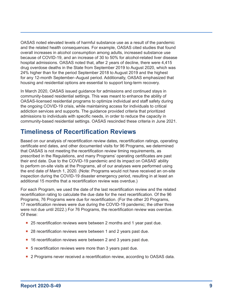<span id="page-9-0"></span>OASAS noted elevated levels of harmful substance use as a result of the pandemic and the related health consequences. For example, OASAS cited studies that found overall increases in alcohol consumption among adults, increased substance use because of COVID-19, and an increase of 30 to 50% for alcohol-related liver disease hospital admissions. OASAS noted that, after 2 years of decline, there were 4,415 drug overdose deaths in the State from September 2019 to August 2020, which was 24% higher than for the period September 2018 to August 2019 and the highest for any 12-month September–August period. Additionally, OASAS emphasized that housing and residential options are essential to support long-term recovery.

In March 2020, OASAS issued guidance for admissions and continued stays in community-based residential settings. This was meant to enhance the ability of OASAS-licensed residential programs to optimize individual and staff safety during the ongoing COVID-19 crisis, while maintaining access for individuals to critical addiction services and supports. The guidance provided criteria that prioritized admissions to individuals with specific needs, in order to reduce the capacity in community-based residential settings. OASAS rescinded these criteria in June 2021.

### **Timeliness of Recertification Reviews**

Based on our analysis of recertification review dates, recertification ratings, operating certificate end dates, and other documented visits for 96 Programs, we determined that OASAS is not meeting the recertification review timing requirements, as prescribed in the Regulations, and many Programs' operating certificates are past their end date. Due to the COVID-19 pandemic and its impact on OASAS' ability to perform on-site visits at the Programs, all of our analyses were performed using the end date of March 1, 2020. (Note: Programs would not have received an on-site inspection during the COVID-19 disaster emergency period, resulting in at least an additional 15 months that a recertification review was overdue.)

For each Program, we used the date of the last recertification review and the related recertification rating to calculate the due date for the next recertification. Of the 96 Programs, 76 Programs were due for recertification. (For the other 20 Programs, 17 recertification reviews were due during the COVID-19 pandemic; the other three were not due until 2022.) For 76 Programs, the recertification review was overdue. Of these:

- 25 recertification reviews were between 2 months and 1 year past due.
- 28 recertification reviews were between 1 and 2 years past due.
- 16 recertification reviews were between 2 and 3 years past due.
- 5 recertification reviews were more than 3 years past due.
- **2** Programs never received a recertification review, according to OASAS data.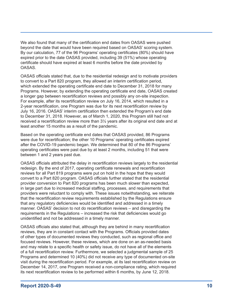We also found that many of the certification end dates from OASAS were pushed beyond the date that would have been required based on OASAS' scoring system. By our calculation, 77 of the 96 Programs' operating certificates (80%) should have expired prior to the date OASAS provided, including 39 (51%) whose operating certificate should have expired at least 6 months before the date provided by OASAS.

OASAS officials stated that, due to the residential redesign and to motivate providers to convert to a Part 820 program, they allowed an interim certification period, which extended the operating certificate end date to December 31, 2018 for many Programs. However, by extending the operating certificate end date, OASAS created a longer gap between recertification reviews and possibly any on-site inspection. For example, after its recertification review on July 16, 2014, which resulted in a 2-year recertification, one Program was due for its next recertification review by July 16, 2016. OASAS' interim certification then extended the Program's end date to December 31, 2018. However, as of March 1, 2020, this Program still had not received a recertification review more than 3½ years after its original end date and at least another 15 months as a result of the pandemic.

Based on the operating certificate end dates that OASAS provided, 86 Programs were due for recertification; the other 10 Programs' operating certificates expired after the COVID-19 pandemic began. We determined that 80 of the 86 Programs' operating certificates were past due by at least 2 months, including 51 that were between 1 and 2 years past due.

OASAS officials attributed the delay in recertification reviews largely to the residential redesign. By the end of 2017, operating certificate renewals and recertification reviews for all Part 819 programs were put on hold in the hope that they would convert to a Part 820 program. OASAS officials further stated that the residential provider conversion to Part 820 programs has been much slower than expected, in large part due to increased medical staffing, processes, and requirements that providers were reluctant to comply with. These issues notwithstanding, we reiterate that the recertification review requirements established by the Regulations ensure that any regulatory deficiencies would be identified and addressed in a timely manner. OASAS' decision to not do recertification reviews – and disregarding the requirements in the Regulations – increased the risk that deficiencies would go unidentified and not be addressed in a timely manner.

OASAS officials also stated that, although they are behind in many recertification reviews, they are in constant contact with the Programs. Officials provided dates of other types of documented reviews they conducted, such as regional office and focused reviews. However, these reviews, which are done on an as-needed basis and may relate to a specific health or safety issue, do not have all of the elements of a full recertification review. Furthermore, we selected a judgmental sample of 25 Programs and determined 10 (40%) did not receive any type of documented on-site visit during the recertification period. For example, at its last recertification review on December 14, 2017, one Program received a non-compliance rating, which required its next recertification review to be performed within 6 months, by June 12, 2018.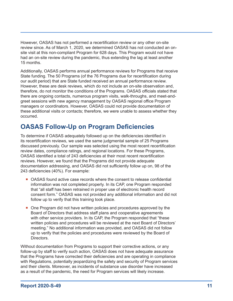<span id="page-11-0"></span>However, OASAS has not performed a recertification review or any other on-site review since. As of March 1, 2020, we determined OASAS has not conducted an onsite visit at this non-compliant Program for 628 days. This Program would not have had an on-site review during the pandemic, thus extending the lag at least another 15 months.

Additionally, OASAS performs annual performance reviews for Programs that receive State funding. The 50 Programs (of the 76 Programs due for recertification during our audit period) that are State funded received an annual performance review. However, these are desk reviews, which do not include an on-site observation and, therefore, do not monitor the conditions of the Programs. OASAS officials stated that there are ongoing contacts, numerous program visits, walk-throughs, and meet-andgreet sessions with new agency management by OASAS regional office Program managers or coordinators. However, OASAS could not provide documentation of these additional visits or contacts; therefore, we were unable to assess whether they occurred.

### **OASAS Follow-Up on Program Deficiencies**

To determine if OASAS adequately followed up on the deficiencies identified in its recertification reviews, we used the same judgmental sample of 25 Programs discussed previously. Our sample was selected using the most recent recertification review dates, compliance ratings, and regional locations. For these Programs, OASAS identified a total of 243 deficiencies at their most recent recertification reviews. However, we found that the Programs did not provide adequate documentation addressing, and OASAS did not sufficiently follow up on, 98 of the 243 deficiencies (40%). For example:

- OASAS found active case records where the consent to release confidential information was not completed properly. In its CAP, one Program responded that "all staff has been retrained in proper use of electronic health record consent form." OASAS was not provided any additional information and did not follow up to verify that this training took place.
- One Program did not have written policies and procedures approved by the Board of Directors that address staff plans and cooperative agreements with other service providers. In its CAP, the Program responded that "these written policies and procedures will be reviewed at the next Board of Directors' meeting." No additional information was provided, and OASAS did not follow up to verify that the policies and procedures were reviewed by the Board of **Directors**

Without documentation from Programs to support their corrective actions, or any follow-up by staff to verify such action, OASAS does not have adequate assurance that the Programs have corrected their deficiencies and are operating in compliance with Regulations, potentially jeopardizing the safety and security of Program services and their clients. Moreover, as incidents of substance use disorder have increased as a result of the pandemic, the need for Program services will likely increase.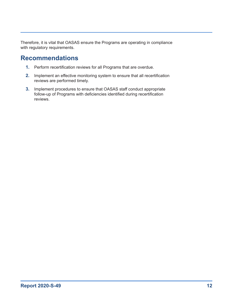<span id="page-12-0"></span>Therefore, it is vital that OASAS ensure the Programs are operating in compliance with regulatory requirements.

### **Recommendations**

- **1.** Perform recertification reviews for all Programs that are overdue.
- **2.** Implement an effective monitoring system to ensure that all recertification reviews are performed timely.
- **3.** Implement procedures to ensure that OASAS staff conduct appropriate follow-up of Programs with deficiencies identified during recertification reviews.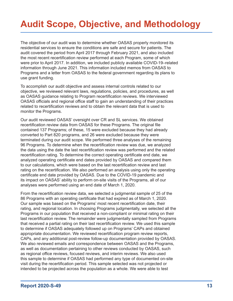# <span id="page-13-0"></span>**Audit Scope, Objective, and Methodology**

The objective of our audit was to determine whether OASAS properly monitored its residential services to ensure the conditions are safe and secure for patients. The audit covered the period from April 2017 through February 2021, and also included the most recent recertification review performed at each Program, some of which were prior to April 2017. In addition, we included publicly available COVID-19–related information through June 2021. This information included memos from OASAS to Programs and a letter from OASAS to the federal government regarding its plans to use grant funding.

To accomplish our audit objective and assess internal controls related to our objective, we reviewed relevant laws, regulations, policies, and procedures, as well as OASAS guidance relating to Program recertification reviews. We interviewed OASAS officials and regional office staff to gain an understanding of their practices related to recertification reviews and to obtain the relevant data that is used to monitor the Programs.

Our audit reviewed OASAS' oversight over CR and SL services. We obtained recertification review data from OASAS for these Programs. The original file contained 137 Programs; of these, 15 were excluded because they had already converted to Part 820 programs, and 26 were excluded because they were terminated during our audit scope. We performed three analyses of the remaining 96 Programs. To determine when the recertification review was due, we analyzed the data using the date the last recertification review was performed and the related recertification rating. To determine the correct operating certificate end date, we analyzed operating certificate end dates provided by OASAS and compared them to our calculations, which were based on the last recertification review and last rating on the recertification. We also performed an analysis using only the operating certificate end date provided by OASAS. Due to the COVID-19 pandemic and its impact on OASAS' ability to perform on-site visits of the Programs, all of our analyses were performed using an end date of March 1, 2020.

From the recertification review data, we selected a judgmental sample of 25 of the 86 Programs with an operating certificate that had expired as of March 1, 2020. Our sample was based on the Programs' most recent recertification date, their rating, and regional location. In choosing Programs judgmentally, we selected all the Programs in our population that received a non-compliant or minimal rating on their last recertification review. The remainder were judgmentally sampled from Programs that received a partial rating on their last recertification review. We used this sample to determine if OASAS adequately followed up on Programs' CAPs and obtained appropriate documentation. We reviewed recertification program review reports, CAPs, and any additional post-review follow-up documentation provided by OASAS. We also reviewed emails and correspondence between OASAS and the Programs, as well as documentation pertaining to other reviews conducted by OASAS, such as regional office reviews, focused reviews, and interim reviews. We also used this sample to determine if OASAS had performed any type of documented on-site visit during the recertification period. This sample selected was not projected or intended to be projected across the population as a whole. We were able to test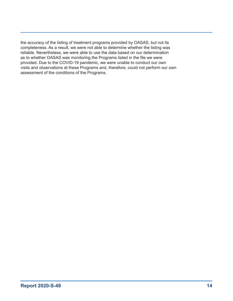the accuracy of the listing of treatment programs provided by OASAS, but not its completeness. As a result, we were not able to determine whether the listing was reliable. Nevertheless, we were able to use the data based on our determination as to whether OASAS was monitoring the Programs listed in the file we were provided. Due to the COVID-19 pandemic, we were unable to conduct our own visits and observations at these Programs and, therefore, could not perform our own assessment of the conditions of the Programs.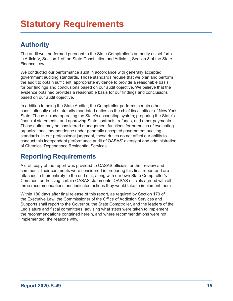### <span id="page-15-0"></span>**Authority**

The audit was performed pursuant to the State Comptroller's authority as set forth in Article V, Section 1 of the State Constitution and Article II, Section 8 of the State Finance Law.

We conducted our performance audit in accordance with generally accepted government auditing standards. Those standards require that we plan and perform the audit to obtain sufficient, appropriate evidence to provide a reasonable basis for our findings and conclusions based on our audit objective. We believe that the evidence obtained provides a reasonable basis for our findings and conclusions based on our audit objective.

In addition to being the State Auditor, the Comptroller performs certain other constitutionally and statutorily mandated duties as the chief fiscal officer of New York State. These include operating the State's accounting system; preparing the State's financial statements; and approving State contracts, refunds, and other payments. These duties may be considered management functions for purposes of evaluating organizational independence under generally accepted government auditing standards. In our professional judgment, these duties do not affect our ability to conduct this independent performance audit of OASAS' oversight and administration of Chemical Dependence Residential Services.

### **Reporting Requirements**

A draft copy of the report was provided to OASAS officials for their review and comment. Their comments were considered in preparing this final report and are attached in their entirety to the end of it, along with our own State Comptroller's Comment addressing certain OASAS statements. OASAS officials agreed with all three recommendations and indicated actions they would take to implement them.

Within 180 days after final release of this report, as required by Section 170 of the Executive Law, the Commissioner of the Office of Addiction Services and Supports shall report to the Governor, the State Comptroller, and the leaders of the Legislature and fiscal committees, advising what steps were taken to implement the recommendations contained herein, and where recommendations were not implemented, the reasons why.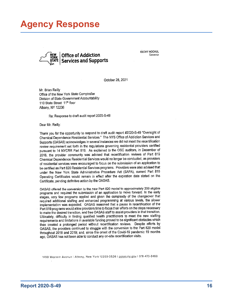## <span id="page-16-0"></span>**Agency Response**



**KATHY HOCHUL** Governor

October 28, 2021

Mr. Brian Reilly Office of the New York State Comptroller Division of State Government Accountability 110 State Street 11<sup>th</sup> floor Albany, NY 12236

Re: Response to draft audit report 2020-S-49

Dear Mr. Reilly:

Thank you for the opportunity to respond to draft audit report #2020-S-49 "Oversight of Chemical Dependence Residential Services." The NYS Office of Addiction Services and Supports (OASAS) acknowledges in several instances we did not meet the recertification review requirement set forth in the regulations governing residential providers certified pursuant to 14 NYCRR Part 819. As explained to the OSC auditors, in December of 2016, the provider community was advised that recertification reviews of Part 819 Chemical Dependence Residential Services would no longer be conducted, as providers of residential services were encouraged to focus on the submission of an application to be certified as Part 820 Residential Services programs. Providers were also advised that under the New York State Administrative Procedure Act (SAPA), current Part 819 Operating Certificates would remain in effect after the expiration date stated on the Certificate, pending definitive action by the OASAS.

OASAS offered the conversion to the new Part 820 model to approximately 200 eligible programs and required the submission of an application to move forward. In the early stages, very few programs applied and given the complexity of the changeover that required additional staffing and enhanced programming at various levels, the slower implementation was expected. OASAS reasoned that a pause in recertification of the Part 819 programs would allow providers time to focus their efforts on the steps necessary to make the desired transition, and free OASAS staff to assist providers in that transition. Ultimately, difficulty in finding qualified health practitioners to meet the new staffing requirements and limitations in available funding proved to be significant obstacles which then created a prolonged period without recertification reviews. Despite efforts by OASAS, the providers continued to struggle with the conversion to the Part 820 model throughout 2018 and 2019; and, since the onset of the Covid-19 pandemic 19 months ago, OASAS has not been able to conduct any on-site recertification visits.

1450 Western Avenue | Albany, New York 12203-3526 | pasas ny gov | 518-473-3460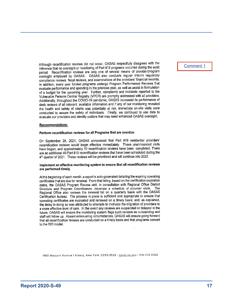Although recertification reviews did not occur, OASAS respectfully disagrees with the inference that no oversight or monitoring of Part 819 programs occurred during the audit period. Recertification reviews are only one of several means of provider/program oversight employed by OASAS. OASAS also conducts regular interim regulatory compliance reviews, fiscal reviews, and examinations of the providers' financial records. In addition, every year funded programs undergo Program Performance Reviews that evaluate performance and spending in the previous year, as well as assist in formulation of a budget for the upcoming year. Further, complaints and incidents reported to the Vulnerable Persons Central Registry (VPCR) are promptly addressed with all providers. Additionally, throughout the COVID-19 pandemic, OASAS increased its performance of desk reviews of all relevant, available information and if any of our monitoring revealed the health and safety of clients was potentially at risk, immediate on-site visits were conducted to assure the safety of individuals. Finally, we continued to use data to evaluate our providers and identify outliers that may need enhanced OASAS oversight.

#### **Recommendations:**

#### Perform recertification reviews for all Programs that are overdue.

On September 28, 2021, OASAS announced that Part 819 residential providers' recertification reviews would begin effective immediately. These unannounced visits have begun, and approximately 10 recertification reviews have been completed. There are an additional 40 Part 819 recertification reviews that have been scheduled during the 4<sup>th</sup> quarter of 2021. These reviews will be prioritized and will continue into 2022.

#### Implement an effective monitoring system to ensure that all recertification reviews are performed timely.

At the beginning of each month, a report is auto-generated detailing the expiring operating certificates that are due for renewal. From that listing, based on the certification expiration dates, the OASAS Program Review unit, in consultation with Regional Office District Directors and Program Coordinators, develops a schedule of provider visits. The Regional Office also reviews the renewal list on a quarterly basis with the OASAS Certification bureau. The process in place is sufficient and appropriate to ensure that operating certificates are evaluated and renewed on a timely basis; and, as explained, the delay in doing so was attributed to attempts to motivate the migration of providers to a more effective level of care. In the event any reviews are suspended or delayed in the future, OASAS will ensure the monitoring system flags such reviews as outstanding and staff will follow up. Absent extenuating circumstances, OASAS will ensure going forward that all recertification reviews are conducted on a timely basis and that programs convert to the 820 model.

1450 Western Avenue | Albany, New York 12203-3526 | oasas.ny.gov | 518-473-3460

#### [Comment 1](#page-19-1)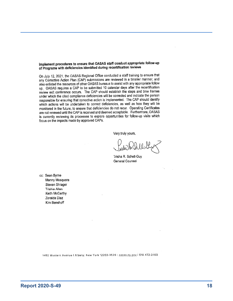#### Implement procedures to ensure that OASAS staff conduct appropriate follow-up of Programs with deficiencies identified during recertification reviews

On July 12, 2021, the OASAS Regional Office conducted a staff training to ensure that any Corrective Action Plan (CAP) submissions are reviewed in a timelier manner, and also enlisted the resources of other OASAS bureaus to assist with any appropriate follow up. OASAS requires a CAP to be submitted 10 calendar days after the recertification review exit conference occurs. The CAP should establish the steps and time frames under which the cited compliance deficiencies will be corrected and indicate the person responsible for ensuring that corrective action is implemented. The CAP should identify which actions will be undertaken to correct deficiencies, as well as how they will be monitored in the future, to ensure that deficiencies do not recur. Operating Certificates are not renewed until the CAP is received and deemed acceptable. Furthermore, OASAS is currently reviewing its processes to explore opportunities for follow-up visits which focus on the impacts made by approved CAPs.

Very truly yours,

Trisha R. Schell-Guy General Counsel

cc: Sean Byrne Manny Mosquera Steven Shrager Trishia Allen Keith McCarthy Zoraida Diaz Kim Benshoff

1450 Western Avenue | Albany, New York 12203-3526 | pasas.ny.gov | 518-473-3460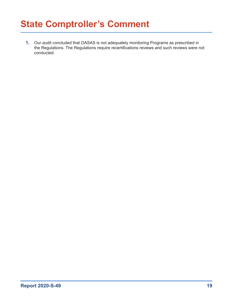## <span id="page-19-0"></span>**State Comptroller's Comment**

<span id="page-19-1"></span>**1.** Our audit concluded that OASAS is not adequately monitoring Programs as prescribed in the Regulations. The Regulations require recertifications reviews and such reviews were not conducted.